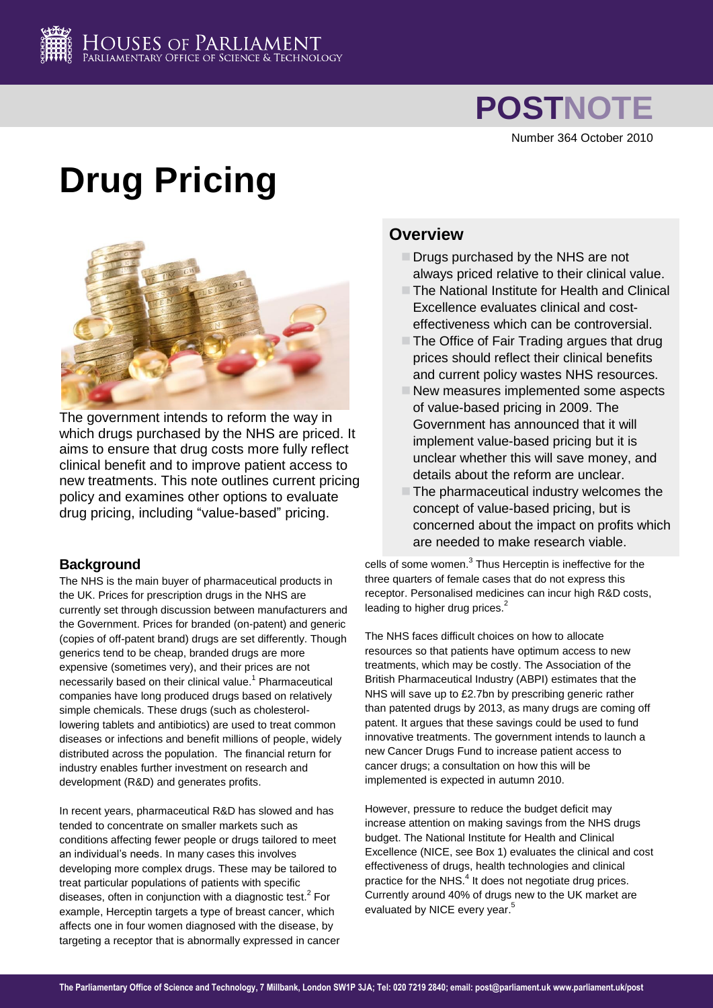

# **POSTNOTE**

Number 364 October 2010

# **Drug Pricing**



The government intends to reform the way in which drugs purchased by the NHS are priced. It aims to ensure that drug costs more fully reflect clinical benefit and to improve patient access to new treatments. This note outlines current pricing policy and examines other options to evaluate drug pricing, including "value-based" pricing.

## **Background**

The NHS is the main buyer of pharmaceutical products in the UK. Prices for prescription drugs in the NHS are currently set through discussion between manufacturers and the Government. Prices for branded (on-patent) and generic (copies of off-patent brand) drugs are set differently. Though generics tend to be cheap, branded drugs are more expensive (sometimes very), and their prices are not necessarily based on their clinical value.<sup>1</sup> Pharmaceutical companies have long produced drugs based on relatively simple chemicals. These drugs (such as cholesterollowering tablets and antibiotics) are used to treat common diseases or infections and benefit millions of people, widely distributed across the population. The financial return for industry enables further investment on research and development (R&D) and generates profits.

In recent years, pharmaceutical R&D has slowed and has tended to concentrate on smaller markets such as conditions affecting fewer people or drugs tailored to meet an individual's needs. In many cases this involves developing more complex drugs. These may be tailored to treat particular populations of patients with specific diseases, often in conjunction with a diagnostic test.<sup>2</sup> For example, Herceptin targets a type of breast cancer, which affects one in four women diagnosed with the disease, by targeting a receptor that is abnormally expressed in cancer

# **Overview**

- $\Box$  Drugs purchased by the NHS are not always priced relative to their clinical value.
- The National Institute for Health and Clinical Excellence evaluates clinical and costeffectiveness which can be controversial.
- $\Box$  The Office of Fair Trading argues that drug prices should reflect their clinical benefits and current policy wastes NHS resources.
- New measures implemented some aspects of value-based pricing in 2009. The Government has announced that it will implement value-based pricing but it is unclear whether this will save money, and details about the reform are unclear.
- $\blacksquare$  The pharmaceutical industry welcomes the concept of value-based pricing, but is concerned about the impact on profits which are needed to make research viable.

cells of some women.<sup>3</sup> Thus Herceptin is ineffective for the three quarters of female cases that do not express this receptor. Personalised medicines can incur high R&D costs, leading to higher drug prices.<sup>2</sup>

The NHS faces difficult choices on how to allocate resources so that patients have optimum access to new treatments, which may be costly. The Association of the British Pharmaceutical Industry (ABPI) estimates that the NHS will save up to £2.7bn by prescribing generic rather than patented drugs by 2013, as many drugs are coming off patent. It argues that these savings could be used to fund innovative treatments. The government intends to launch a new Cancer Drugs Fund to increase patient access to cancer drugs; a consultation on how this will be implemented is expected in autumn 2010.

However, pressure to reduce the budget deficit may increase attention on making savings from the NHS drugs budget. The National Institute for Health and Clinical Excellence (NICE, see Box 1) evaluates the clinical and cost effectiveness of drugs, health technologies and clinical practice for the NHS.<sup>4</sup> It does not negotiate drug prices. Currently around 40% of drugs new to the UK market are evaluated by NICE every year.<sup>5</sup>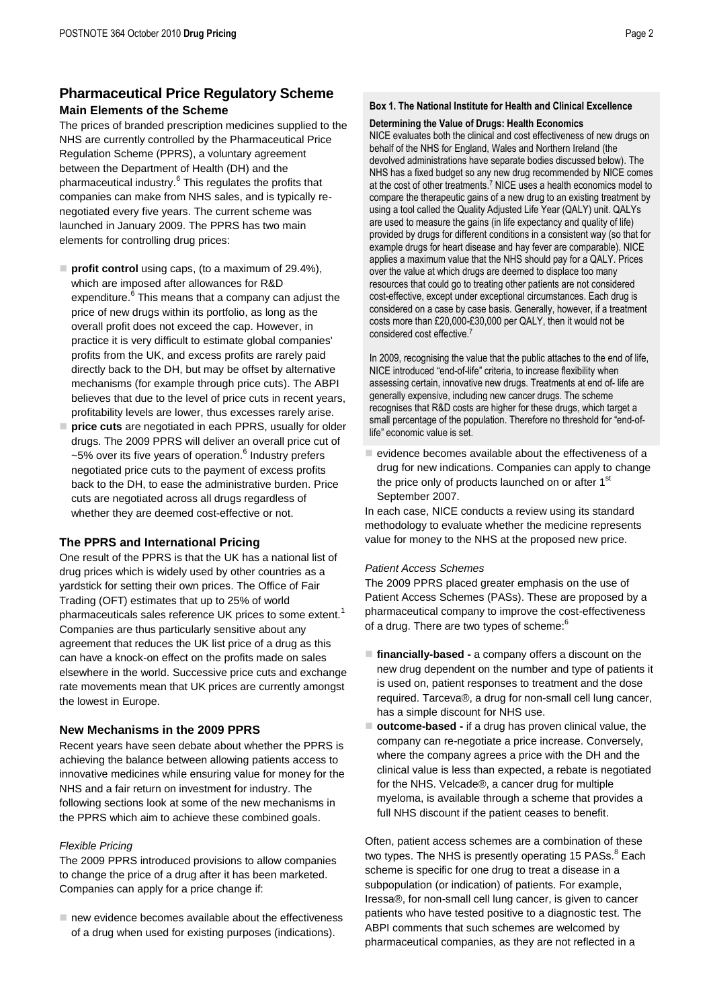# **Pharmaceutical Price Regulatory Scheme Main Elements of the Scheme**

The prices of branded prescription medicines supplied to the NHS are currently controlled by the Pharmaceutical Price Regulation Scheme (PPRS), a voluntary agreement between the Department of Health (DH) and the pharmaceutical industry.<sup>6</sup> This regulates the profits that companies can make from NHS sales, and is typically renegotiated every five years. The current scheme was launched in January 2009. The PPRS has two main elements for controlling drug prices:

- **profit control** using caps, (to a maximum of 29.4%), which are imposed after allowances for R&D expenditure.<sup>6</sup> This means that a company can adjust the price of new drugs within its portfolio, as long as the overall profit does not exceed the cap. However, in practice it is very difficult to estimate global companies' profits from the UK, and excess profits are rarely paid directly back to the DH, but may be offset by alternative mechanisms (for example through price cuts). The ABPI believes that due to the level of price cuts in recent years, profitability levels are lower, thus excesses rarely arise.
- **price cuts** are negotiated in each PPRS, usually for older drugs. The 2009 PPRS will deliver an overall price cut of ~5% over its five years of operation.<sup>6</sup> Industry prefers negotiated price cuts to the payment of excess profits back to the DH, to ease the administrative burden. Price cuts are negotiated across all drugs regardless of whether they are deemed cost-effective or not.

### **The PPRS and International Pricing**

One result of the PPRS is that the UK has a national list of drug prices which is widely used by other countries as a yardstick for setting their own prices. The Office of Fair Trading (OFT) estimates that up to 25% of world pharmaceuticals sales reference UK prices to some extent.<sup>1</sup> Companies are thus particularly sensitive about any agreement that reduces the UK list price of a drug as this can have a knock-on effect on the profits made on sales elsewhere in the world. Successive price cuts and exchange rate movements mean that UK prices are currently amongst the lowest in Europe.

### **New Mechanisms in the 2009 PPRS**

Recent years have seen debate about whether the PPRS is achieving the balance between allowing patients access to innovative medicines while ensuring value for money for the NHS and a fair return on investment for industry. The following sections look at some of the new mechanisms in the PPRS which aim to achieve these combined goals.

### *Flexible Pricing*

The 2009 PPRS introduced provisions to allow companies to change the price of a drug after it has been marketed. Companies can apply for a price change if:

 $\blacksquare$  new evidence becomes available about the effectiveness of a drug when used for existing purposes (indications).

### **Box 1. The National Institute for Health and Clinical Excellence**

### **Determining the Value of Drugs: Health Economics**

NICE evaluates both the clinical and cost effectiveness of new drugs on behalf of the NHS for England, Wales and Northern Ireland (the devolved administrations have separate bodies discussed below). The NHS has a fixed budget so any new drug recommended by NICE comes at the cost of other treatments.<sup>7</sup> NICE uses a health economics model to compare the therapeutic gains of a new drug to an existing treatment by using a tool called the Quality Adjusted Life Year (QALY) unit. QALYs are used to measure the gains (in life expectancy and quality of life) provided by drugs for different conditions in a consistent way (so that for example drugs for heart disease and hay fever are comparable). NICE applies a maximum value that the NHS should pay for a QALY. Prices over the value at which drugs are deemed to displace too many resources that could go to treating other patients are not considered cost-effective, except under exceptional circumstances. Each drug is considered on a case by case basis. Generally, however, if a treatment costs more than £20,000-£30,000 per QALY, then it would not be considered cost effective.<sup>7</sup>

In 2009, recognising the value that the public attaches to the end of life, NICE introduced "end-of-life" criteria, to increase flexibility when assessing certain, innovative new drugs. Treatments at end of- life are generally expensive, including new cancer drugs. The scheme recognises that R&D costs are higher for these drugs, which target a small percentage of the population. Therefore no threshold for "end-oflife" economic value is set.

 $\blacksquare$  evidence becomes available about the effectiveness of a drug for new indications. Companies can apply to change the price only of products launched on or after 1<sup>st</sup> September 2007.

In each case, NICE conducts a review using its standard methodology to evaluate whether the medicine represents value for money to the NHS at the proposed new price.

### *Patient Access Schemes*

The 2009 PPRS placed greater emphasis on the use of Patient Access Schemes (PASs). These are proposed by a pharmaceutical company to improve the cost-effectiveness of a drug. There are two types of scheme:

- **financially-based -** a company offers a discount on the new drug dependent on the number and type of patients it is used on, patient responses to treatment and the dose required. Tarceva®, a drug for non-small cell lung cancer, has a simple discount for NHS use.
- **outcome-based -** if a drug has proven clinical value, the company can re-negotiate a price increase. Conversely, where the company agrees a price with the DH and the clinical value is less than expected, a rebate is negotiated for the NHS. Velcade®, a cancer drug for multiple myeloma, is available through a scheme that provides a full NHS discount if the patient ceases to benefit.

Often, patient access schemes are a combination of these two types. The NHS is presently operating 15 PASs.<sup>8</sup> Each scheme is specific for one drug to treat a disease in a subpopulation (or indication) of patients. For example, Iressa®, for non-small cell lung cancer, is given to cancer patients who have tested positive to a diagnostic test. The ABPI comments that such schemes are welcomed by pharmaceutical companies, as they are not reflected in a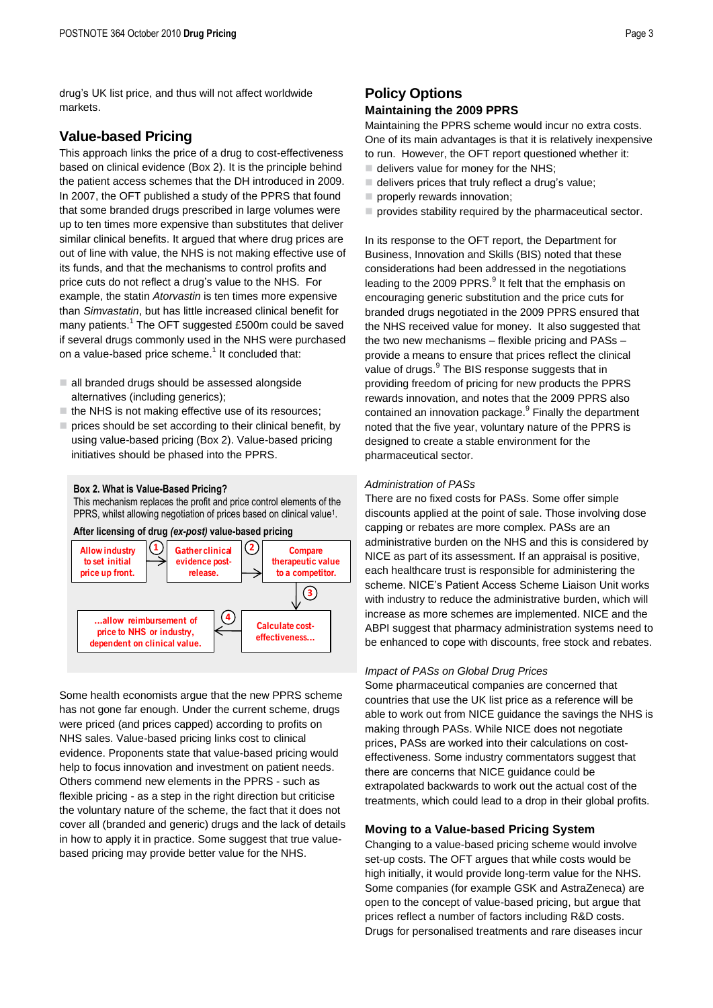drug's UK list price, and thus will not affect worldwide markets.

## **Value-based Pricing**

This approach links the price of a drug to cost-effectiveness based on clinical evidence (Box 2). It is the principle behind the patient access schemes that the DH introduced in 2009. In 2007, the OFT published a study of the PPRS that found that some branded drugs prescribed in large volumes were up to ten times more expensive than substitutes that deliver similar clinical benefits. It argued that where drug prices are out of line with value, the NHS is not making effective use of its funds, and that the mechanisms to control profits and price cuts do not reflect a drug's value to the NHS. For example, the statin *Atorvastin* is ten times more expensive than *Simvastatin*, but has little increased clinical benefit for many patients.<sup>1</sup> The OFT suggested £500m could be saved if several drugs commonly used in the NHS were purchased on a value-based price scheme. $^{\rm 1}$  It concluded that:

- $\Box$  all branded drugs should be assessed alongside alternatives (including generics);
- $\blacksquare$  the NHS is not making effective use of its resources;
- $\blacksquare$  prices should be set according to their clinical benefit, by using value-based pricing (Box 2). Value-based pricing initiatives should be phased into the PPRS.

### **Box 2. What is Value-Based Pricing?**

This mechanism replaces the profit and price control elements of the PPRS, whilst allowing negotiation of prices based on clinical value<sup>1</sup>.



Some health economists argue that the new PPRS scheme has not gone far enough. Under the current scheme, drugs were priced (and prices capped) according to profits on NHS sales. Value-based pricing links cost to clinical evidence. Proponents state that value-based pricing would help to focus innovation and investment on patient needs. Others commend new elements in the PPRS - such as flexible pricing - as a step in the right direction but criticise the voluntary nature of the scheme, the fact that it does not cover all (branded and generic) drugs and the lack of details in how to apply it in practice. Some suggest that true valuebased pricing may provide better value for the NHS.

# **Policy Options**

### **Maintaining the 2009 PPRS**

Maintaining the PPRS scheme would incur no extra costs. One of its main advantages is that it is relatively inexpensive to run. However, the OFT report questioned whether it:

- $\blacksquare$  delivers value for money for the NHS;
- $\blacksquare$  delivers prices that truly reflect a drug's value;
- properly rewards innovation;
- $\blacksquare$  provides stability required by the pharmaceutical sector.

In its response to the OFT report, the Department for Business, Innovation and Skills (BIS) noted that these considerations had been addressed in the negotiations leading to the 2009 PPRS.<sup>9</sup> It felt that the emphasis on encouraging generic substitution and the price cuts for branded drugs negotiated in the 2009 PPRS ensured that the NHS received value for money. It also suggested that the two new mechanisms – flexible pricing and PASs – provide a means to ensure that prices reflect the clinical value of drugs.<sup>9</sup> The BIS response suggests that in providing freedom of pricing for new products the PPRS rewards innovation, and notes that the 2009 PPRS also contained an innovation package.<sup>9</sup> Finally the department noted that the five year, voluntary nature of the PPRS is designed to create a stable environment for the pharmaceutical sector.

### *Administration of PASs*

There are no fixed costs for PASs. Some offer simple discounts applied at the point of sale. Those involving dose capping or rebates are more complex. PASs are an administrative burden on the NHS and this is considered by NICE as part of its assessment. If an appraisal is positive, each healthcare trust is responsible for administering the scheme. NICE's Patient Access Scheme Liaison Unit works with industry to reduce the administrative burden, which will increase as more schemes are implemented. NICE and the ABPI suggest that pharmacy administration systems need to be enhanced to cope with discounts, free stock and rebates.

### *Impact of PASs on Global Drug Prices*

Some pharmaceutical companies are concerned that countries that use the UK list price as a reference will be able to work out from NICE guidance the savings the NHS is making through PASs. While NICE does not negotiate prices, PASs are worked into their calculations on costeffectiveness. Some industry commentators suggest that there are concerns that NICE guidance could be extrapolated backwards to work out the actual cost of the treatments, which could lead to a drop in their global profits.

### **Moving to a Value-based Pricing System**

Changing to a value-based pricing scheme would involve set-up costs. The OFT argues that while costs would be high initially, it would provide long-term value for the NHS. Some companies (for example GSK and AstraZeneca) are open to the concept of value-based pricing, but argue that prices reflect a number of factors including R&D costs. Drugs for personalised treatments and rare diseases incur